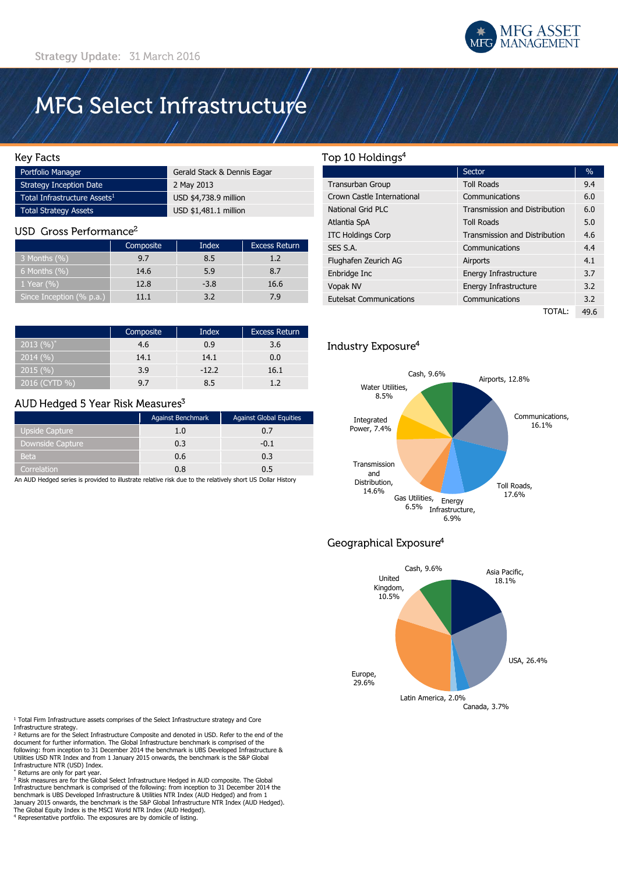

# MFG Select Infrastructure

### **Key Facts**

| Portfolio Manager                        | Gerald Stack & Dennis Eagar |  |
|------------------------------------------|-----------------------------|--|
| Strategy Inception Date                  | 2 May 2013                  |  |
| Total Infrastructure Assets <sup>1</sup> | USD \$4,738.9 million       |  |
| Total Strategy Assets                    | USD \$1,481.1 million       |  |

### USD Gross Performance<sup>2</sup>

|                          | Composite | Index  | <b>Excess Return</b> |  |
|--------------------------|-----------|--------|----------------------|--|
| 3 Months $(\% )$         | 9.7       | 8.5    | 1.2                  |  |
| 6 Months $(\% )$         | 14.6      | 5.9    | 8.7                  |  |
| $1$ Year (%)             | 12.8      | $-3.8$ | 16.6                 |  |
| Since Inception (% p.a.) | ווו       | 37     | 7.9                  |  |

|               | Composite      | Index   | <b>Excess Return</b> |  |
|---------------|----------------|---------|----------------------|--|
| 2013 $(%)^*$  | 4.6            | 0.9     | 3.6                  |  |
| 2014(%)       | 14.1           | 14.1    | 0.0                  |  |
| 2015(%)       | 3.9            | $-12.2$ | 16.1                 |  |
| 2016 (CYTD %) | Q <sub>7</sub> | 8.5     |                      |  |

### AUD Hedged 5 Year Risk Measures<sup>3</sup>

|                       | Against Benchmark | <b>Against Global Equities</b> |
|-----------------------|-------------------|--------------------------------|
| <b>Upside Capture</b> | 1.0               | 0.7                            |
| Downside Capture      | 0.3               | $-0.1$                         |
| <b>Beta</b>           | 0.6               | 0.3                            |
| Correlation           | 0.8               |                                |

An AUD Hedged series is provided to illustrate relative risk due to the relatively short US Dollar History

### Top 10 Holdings<sup>4</sup>

|                                | Sector                               | $\frac{0}{0}$ |
|--------------------------------|--------------------------------------|---------------|
| <b>Transurban Group</b>        | <b>Toll Roads</b>                    | 9.4           |
| Crown Castle International     | Communications                       | 6.0           |
| National Grid PLC              | <b>Transmission and Distribution</b> | 6.0           |
| Atlantia SpA                   | <b>Toll Roads</b>                    | 5.0           |
| <b>ITC Holdings Corp</b>       | <b>Transmission and Distribution</b> | 4.6           |
| SES S.A.                       | Communications                       | 4.4           |
| Flughafen Zeurich AG           | Airports                             | 4.1           |
| Enbridge Inc                   | Energy Infrastructure                | 3.7           |
| Vopak NV                       | Energy Infrastructure                | 3.2           |
| <b>Eutelsat Communications</b> | Communications                       | 3.2           |
|                                | TOTAL:                               | 49.6          |

### Industry Exposure<sup>4</sup>



# Geographical Exposure<sup>4</sup>



<sup>1</sup> Total Firm Infrastructure assets comprises of the Select Infrastructure strategy and Core Infrastructure strategy.

<sup>2</sup> Returns are for the Select Infrastructure Composite and denoted in USD. Refer to the end of the<br>document for further information. The Global Infrastructure benchmark is comprised of the following: from inception to 31 December 2014 the benchmark is UBS Developed Infrastructure & Utilities USD NTR Index and from 1 January 2015 onwards, the benchmark is the S&P Global Infrastructure NTR (USD) Index.

\* Returns are only for part year.

<sup>3</sup> Risk measures are for the Global Select Infrastructure Hedged in AUD composite. The Global Infrastructure benchmark is comprised of the following: from inception to 31 December 2014 the<br>benchmark is UBS Developed Infrastructure & Utilities NTR Index (AUD Hedged) and from 1<br>January 2015 onwards, the benchmark is The Global Equity Index is the MSCI World NTR Index (AUD Hedged).

<sup>4</sup> Representative portfolio. The exposures are by domicile of listing.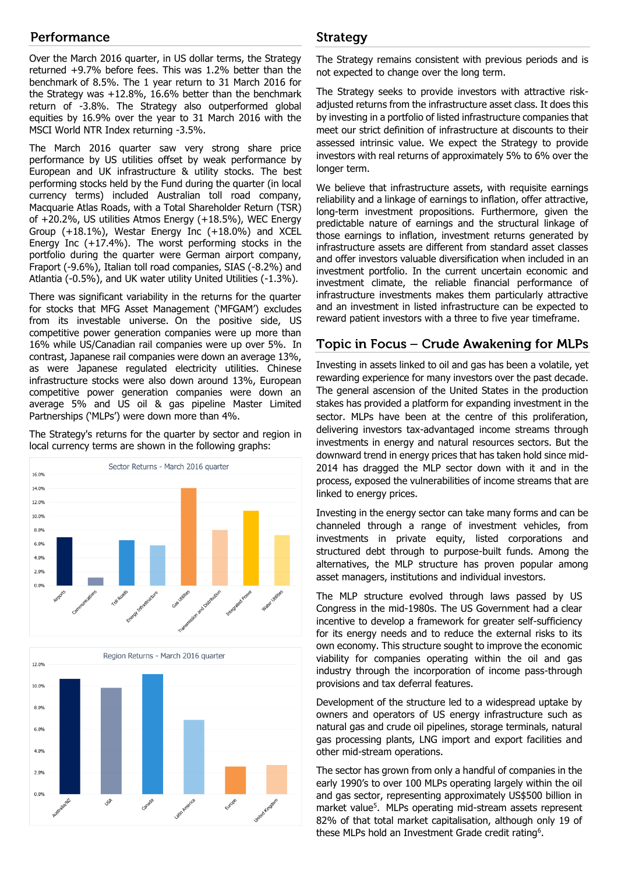# Performance

Over the March 2016 quarter, in US dollar terms, the Strategy returned +9.7% before fees. This was 1.2% better than the benchmark of 8.5%. The 1 year return to 31 March 2016 for the Strategy was +12.8%, 16.6% better than the benchmark return of -3.8%. The Strategy also outperformed global equities by 16.9% over the year to 31 March 2016 with the MSCI World NTR Index returning -3.5%.

The March 2016 quarter saw very strong share price performance by US utilities offset by weak performance by European and UK infrastructure & utility stocks. The best performing stocks held by the Fund during the quarter (in local currency terms) included Australian toll road company, Macquarie Atlas Roads, with a Total Shareholder Return (TSR) of +20.2%, US utilities Atmos Energy (+18.5%), WEC Energy Group (+18.1%), Westar Energy Inc (+18.0%) and XCEL Energy Inc (+17.4%). The worst performing stocks in the portfolio during the quarter were German airport company, Fraport (-9.6%), Italian toll road companies, SIAS (-8.2%) and Atlantia (-0.5%), and UK water utility United Utilities (-1.3%).

There was significant variability in the returns for the quarter for stocks that MFG Asset Management ('MFGAM') excludes from its investable universe. On the positive side, US competitive power generation companies were up more than 16% while US/Canadian rail companies were up over 5%. In contrast, Japanese rail companies were down an average 13%, as were Japanese regulated electricity utilities. Chinese infrastructure stocks were also down around 13%, European competitive power generation companies were down an average 5% and US oil & gas pipeline Master Limited Partnerships ('MLPs') were down more than 4%.

The Strategy's returns for the quarter by sector and region in local currency terms are shown in the following graphs:





# **Strategy**

The Strategy remains consistent with previous periods and is not expected to change over the long term.

The Strategy seeks to provide investors with attractive riskadjusted returns from the infrastructure asset class. It does this by investing in a portfolio of listed infrastructure companies that meet our strict definition of infrastructure at discounts to their assessed intrinsic value. We expect the Strategy to provide investors with real returns of approximately 5% to 6% over the longer term.

We believe that infrastructure assets, with requisite earnings reliability and a linkage of earnings to inflation, offer attractive, long-term investment propositions. Furthermore, given the predictable nature of earnings and the structural linkage of those earnings to inflation, investment returns generated by infrastructure assets are different from standard asset classes and offer investors valuable diversification when included in an investment portfolio. In the current uncertain economic and investment climate, the reliable financial performance of infrastructure investments makes them particularly attractive and an investment in listed infrastructure can be expected to reward patient investors with a three to five year timeframe.

# Topic in Focus – Crude Awakening for MLPs

Investing in assets linked to oil and gas has been a volatile, yet rewarding experience for many investors over the past decade. The general ascension of the United States in the production stakes has provided a platform for expanding investment in the sector. MLPs have been at the centre of this proliferation, delivering investors tax-advantaged income streams through investments in energy and natural resources sectors. But the downward trend in energy prices that has taken hold since mid-2014 has dragged the MLP sector down with it and in the process, exposed the vulnerabilities of income streams that are linked to energy prices.

Investing in the energy sector can take many forms and can be channeled through a range of investment vehicles, from investments in private equity, listed corporations and structured debt through to purpose-built funds. Among the alternatives, the MLP structure has proven popular among asset managers, institutions and individual investors.

The MLP structure evolved through laws passed by US Congress in the mid-1980s. The US Government had a clear incentive to develop a framework for greater self-sufficiency for its energy needs and to reduce the external risks to its own economy. This structure sought to improve the economic viability for companies operating within the oil and gas industry through the incorporation of income pass-through provisions and tax deferral features.

Development of the structure led to a widespread uptake by owners and operators of US energy infrastructure such as natural gas and crude oil pipelines, storage terminals, natural gas processing plants, LNG import and export facilities and other mid-stream operations.

The sector has grown from only a handful of companies in the early 1990's to over 100 MLPs operating largely within the oil and gas sector, representing approximately US\$500 billion in market value<sup>5</sup>. MLPs operating mid-stream assets represent 82% of that total market capitalisation, although only 19 of these MLPs hold an Investment Grade credit rating<sup>6</sup>.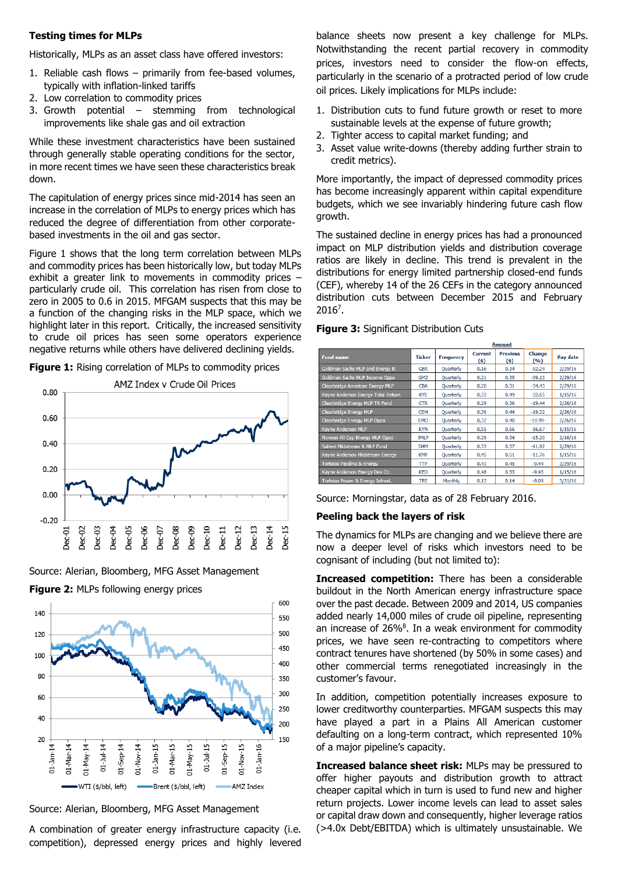### **Testing times for MLPs**

Historically, MLPs as an asset class have offered investors:

- 1. Reliable cash flows primarily from fee-based volumes, typically with inflation-linked tariffs
- 2. Low correlation to commodity prices
- 3. Growth potential stemming from technological improvements like shale gas and oil extraction

While these investment characteristics have been sustained through generally stable operating conditions for the sector, in more recent times we have seen these characteristics break down.

The capitulation of energy prices since mid-2014 has seen an increase in the correlation of MLPs to energy prices which has reduced the degree of differentiation from other corporatebased investments in the oil and gas sector.

Figure 1 shows that the long term correlation between MLPs and commodity prices has been historically low, but today MLPs exhibit a greater link to movements in commodity prices – particularly crude oil. This correlation has risen from close to zero in 2005 to 0.6 in 2015. MFGAM suspects that this may be a function of the changing risks in the MLP space, which we highlight later in this report. Critically, the increased sensitivity to crude oil prices has seen some operators experience negative returns while others have delivered declining yields.

**Figure 1:** Rising correlation of MLPs to commodity prices



Source: Alerian, Bloomberg, MFG Asset Management



**Figure 2: MLPs following energy prices** 

Source: Alerian, Bloomberg, MFG Asset Management

A combination of greater energy infrastructure capacity (i.e. competition), depressed energy prices and highly levered balance sheets now present a key challenge for MLPs. Notwithstanding the recent partial recovery in commodity prices, investors need to consider the flow-on effects, particularly in the scenario of a protracted period of low crude oil prices. Likely implications for MLPs include:

- 1. Distribution cuts to fund future growth or reset to more sustainable levels at the expense of future growth;
- 2. Tighter access to capital market funding; and
- 3. Asset value write-downs (thereby adding further strain to credit metrics).

More importantly, the impact of depressed commodity prices has become increasingly apparent within capital expenditure budgets, which we see invariably hindering future cash flow growth.

The sustained decline in energy prices has had a pronounced impact on MLP distribution yields and distribution coverage ratios are likely in decline. This trend is prevalent in the distributions for energy limited partnership closed-end funds (CEF), whereby 14 of the 26 CEFs in the category announced distribution cuts between December 2015 and February 2016<sup>7</sup> .

|                                    | лшошк         |                  |                  |                         |                 |          |
|------------------------------------|---------------|------------------|------------------|-------------------------|-----------------|----------|
| <b>Fund name</b>                   | <b>Ticker</b> | <b>Frequency</b> | Current<br>$(5)$ | <b>Previous</b><br>(\$) | Change<br>(9/6) | Pay date |
| Goldman Sachs MLP and Energy R     | <b>GER</b>    | Ouarterly        | 0.16             | 0.34                    | $-52.24$        | 2/29/16  |
| Goldman Sachs MLP Income Opps      | <b>GMZ</b>    | Quarterly        | 0.21             | 0.35                    | $-39.13$        | 2/29/16  |
| Clearbridge American Energy MLP    | CBA           | Quarterly        | 0.20             | 0.31                    | $-34.43$        | 2/29/16  |
| Kayne Anderson Energy Total Return | <b>KYE</b>    | <b>Quarterly</b> | 0.33             | 0.49                    | $-32.65$        | 1/15/16  |
| Clearbridge Energy MLP TR Fund     | <b>CTR</b>    | Quarterly        | 0.29             | 0.36                    | $-19.44$        | 2/26/16  |
| Clearbridge Energy MLP             | <b>CEM</b>    | Ouarterly        | 0.36             | 0.44                    | $-19.32$        | 2/26/16  |
| Clearbridge Energy MLP Opps        | <b>EMO</b>    | Quarterly        | 0.32             | 0.40                    | $-18.99-$       | 2/26/16  |
| Kavne Anderson MLP                 | <b>KYN</b>    | Ouarterly        | 0.55             | 0.66                    | $-16.67$        | 1/15/16  |
| Nuveen All Cap Energy MLP Opps     | <b>JMLP</b>   | Quarterly        | 0.29             | 0.34                    | $-15.20$        | 2/16/16  |
| Salient Midstream & MLP Fund       | <b>SMM</b>    | Ouarterly        | 0.33             | 0.37                    | $-11.92$        | 2/29/16  |
| Kayne Anderson Midstream Energy    | <b>KMF</b>    | Quarterly        | 0.45             | 0.51                    | $-11.76$        | 1/15/16  |
| Tortoise Pipeline & Energy         | TTP           | Ouarterly        | 0.41             | 0.45                    | $-9.44$         | 2/29/16  |
| Kayne Anderson Energy Dev Co.      | <b>KED</b>    | Quarterly        | 0.48             | 0.53                    | $-9.43$         | 1/15/16  |
| Tortoise Power & Energy Infrast.   | <b>TPZ</b>    | Monthly          | 0.13             | 0.14                    | $-9.09$         | 3/31/16  |

#### **Figure 3:** Significant Distribution Cuts

Source: Morningstar, data as of 28 February 2016.

#### **Peeling back the layers of risk**

The dynamics for MLPs are changing and we believe there are now a deeper level of risks which investors need to be cognisant of including (but not limited to):

**Increased competition:** There has been a considerable buildout in the North American energy infrastructure space over the past decade. Between 2009 and 2014, US companies added nearly 14,000 miles of crude oil pipeline, representing an increase of  $26\%$ <sup>8</sup>. In a weak environment for commodity prices, we have seen re-contracting to competitors where contract tenures have shortened (by 50% in some cases) and other commercial terms renegotiated increasingly in the customer's favour.

In addition, competition potentially increases exposure to lower creditworthy counterparties. MFGAM suspects this may have played a part in a Plains All American customer defaulting on a long-term contract, which represented 10% of a major pipeline's capacity.

**Increased balance sheet risk:** MLPs may be pressured to offer higher payouts and distribution growth to attract cheaper capital which in turn is used to fund new and higher return projects. Lower income levels can lead to asset sales or capital draw down and consequently, higher leverage ratios (>4.0x Debt/EBITDA) which is ultimately unsustainable. We